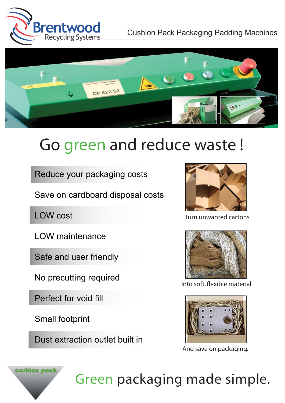



## Go green and reduce waste !

Reduce your packaging costs

Save on cardboard disposal costs

LOW cost

LOW maintenance

Safe and user friendly

No precutting required

Perfect for void fill

Small footprint

Dust extraction outlet built in



Turn unwanted cartons



Into soft, flexible material



And save on packaging.



Green packaging made simple.